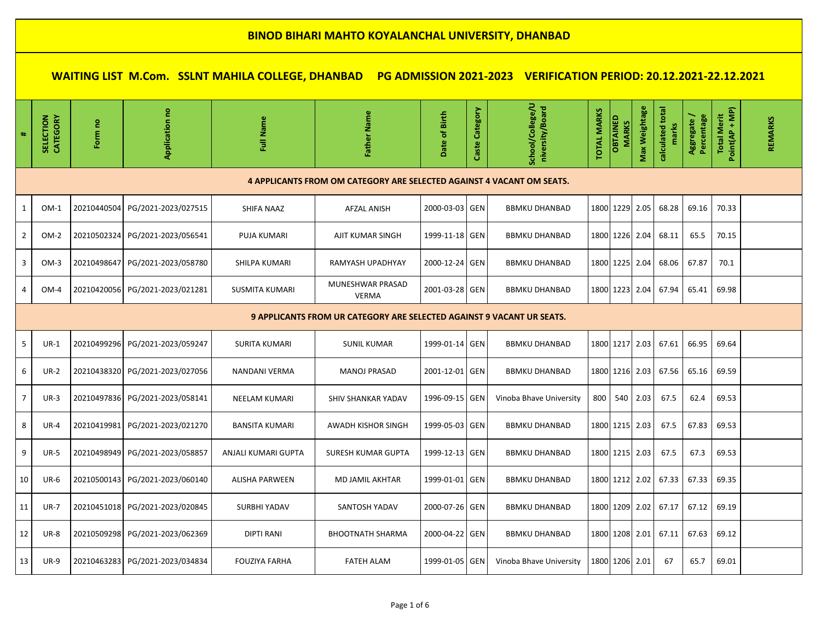| #              | SELECTION<br>CATEGORY                                                        | Form no     | Application no                    | Full Name             | Father Name                                                           | of Birth<br><b>Date</b> | Caste Category | School/College/U<br>niversity/Board | <b>TOTAL MARKS</b> | <b>OBTAINED</b><br><b>MARKS</b> | Weightage<br>Max | calculated total | Aggregate/<br>Percentage | Point(AP + MP)<br><b>Total Merit</b> | <b>REMARKS</b> |
|----------------|------------------------------------------------------------------------------|-------------|-----------------------------------|-----------------------|-----------------------------------------------------------------------|-------------------------|----------------|-------------------------------------|--------------------|---------------------------------|------------------|------------------|--------------------------|--------------------------------------|----------------|
|                |                                                                              |             |                                   |                       | 4 APPLICANTS FROM OM CATEGORY ARE SELECTED AGAINST 4 VACANT OM SEATS. |                         |                |                                     |                    |                                 |                  |                  |                          |                                      |                |
| 1              | $OM-1$                                                                       |             | 20210440504 PG/2021-2023/027515   | <b>SHIFA NAAZ</b>     | <b>AFZAL ANISH</b>                                                    | 2000-03-03 GEN          |                | <b>BBMKU DHANBAD</b>                |                    | 1800 1229 2.05                  |                  | 68.28            | 69.16                    | 70.33                                |                |
| $\overline{2}$ | OM-2                                                                         | 20210502324 | PG/2021-2023/056541               | PUJA KUMARI           | AJIT KUMAR SINGH                                                      | 1999-11-18 GEN          |                | <b>BBMKU DHANBAD</b>                |                    | 1800 1226 2.04                  |                  | 68.11            | 65.5                     | 70.15                                |                |
| 3              | $OM-3$                                                                       | 20210498647 | PG/2021-2023/058780               | SHILPA KUMARI         | RAMYASH UPADHYAY                                                      | 2000-12-24 GEN          |                | <b>BBMKU DHANBAD</b>                |                    | 1800 1225 2.04                  |                  | 68.06            | 67.87                    | 70.1                                 |                |
| $\overline{4}$ | OM-4                                                                         |             | 20210420056   PG/2021-2023/021281 | <b>SUSMITA KUMARI</b> | MUNESHWAR PRASAD<br><b>VERMA</b>                                      | 2001-03-28 GEN          |                | <b>BBMKU DHANBAD</b>                |                    | 1800 1223 2.04                  |                  | 67.94            | 65.41                    | 69.98                                |                |
|                | <b>9 APPLICANTS FROM UR CATEGORY ARE SELECTED AGAINST 9 VACANT UR SEATS.</b> |             |                                   |                       |                                                                       |                         |                |                                     |                    |                                 |                  |                  |                          |                                      |                |
| 5              | $UR-1$                                                                       | 20210499296 | PG/2021-2023/059247               | <b>SURITA KUMARI</b>  | <b>SUNIL KUMAR</b>                                                    | 1999-01-14 GEN          |                | <b>BBMKU DHANBAD</b>                |                    | 1800 1217 2.03                  |                  | 67.61            | 66.95                    | 69.64                                |                |
| 6              | $UR-2$                                                                       |             | 20210438320 PG/2021-2023/027056   | NANDANI VERMA         | <b>MANOJ PRASAD</b>                                                   | 2001-12-01 GEN          |                | <b>BBMKU DHANBAD</b>                |                    | 1800 1216 2.03                  |                  | 67.56            | 65.16                    | 69.59                                |                |
| $\overline{7}$ | $UR-3$                                                                       | 20210497836 | PG/2021-2023/058141               | <b>NEELAM KUMARI</b>  | <b>SHIV SHANKAR YADAV</b>                                             | 1996-09-15 GEN          |                | Vinoba Bhave University             | 800                | 540                             | 2.03             | 67.5             | 62.4                     | 69.53                                |                |
| 8              | $UR-4$                                                                       | 20210419981 | PG/2021-2023/021270               | <b>BANSITA KUMARI</b> | <b>AWADH KISHOR SINGH</b>                                             | 1999-05-03 GEN          |                | <b>BBMKU DHANBAD</b>                |                    | 1800 1215 2.03                  |                  | 67.5             | 67.83                    | 69.53                                |                |
| 9              | $UR-5$                                                                       |             |                                   | ANJALI KUMARI GUPTA   | <b>SURESH KUMAR GUPTA</b>                                             | 1999-12-13 GEN          |                | <b>BBMKU DHANBAD</b>                |                    | 1800 1215 2.03                  |                  | 67.5             | 67.3                     | 69.53                                |                |
| 10             | <b>UR-6</b>                                                                  | 20210500143 | PG/2021-2023/060140               | <b>ALISHA PARWEEN</b> | MD JAMIL AKHTAR                                                       | 1999-01-01 GEN          |                | <b>BBMKU DHANBAD</b>                |                    | 1800 1212 2.02                  |                  | 67.33            | 67.33                    | 69.35                                |                |
| 11             | <b>UR-7</b>                                                                  |             | 20210451018 PG/2021-2023/020845   | <b>SURBHI YADAV</b>   | <b>SANTOSH YADAV</b>                                                  | 2000-07-26 GEN          |                | <b>BBMKU DHANBAD</b>                |                    | 1800 1209 2.02                  |                  | 67.17            | 67.12                    | 69.19                                |                |
| 12             | <b>UR-8</b>                                                                  |             | 20210509298 PG/2021-2023/062369   | <b>DIPTI RANI</b>     | <b>BHOOTNATH SHARMA</b>                                               | 2000-04-22 GEN          |                | <b>BBMKU DHANBAD</b>                |                    | 1800 1208 2.01                  |                  | 67.11            | 67.63                    | 69.12                                |                |
| 13             | <b>UR-9</b>                                                                  |             | 20210463283 PG/2021-2023/034834   | <b>FOUZIYA FARHA</b>  | <b>FATEH ALAM</b>                                                     | 1999-01-05 GEN          |                | Vinoba Bhave University             |                    | 1800 1206 2.01                  |                  | 67               | 65.7                     | 69.01                                |                |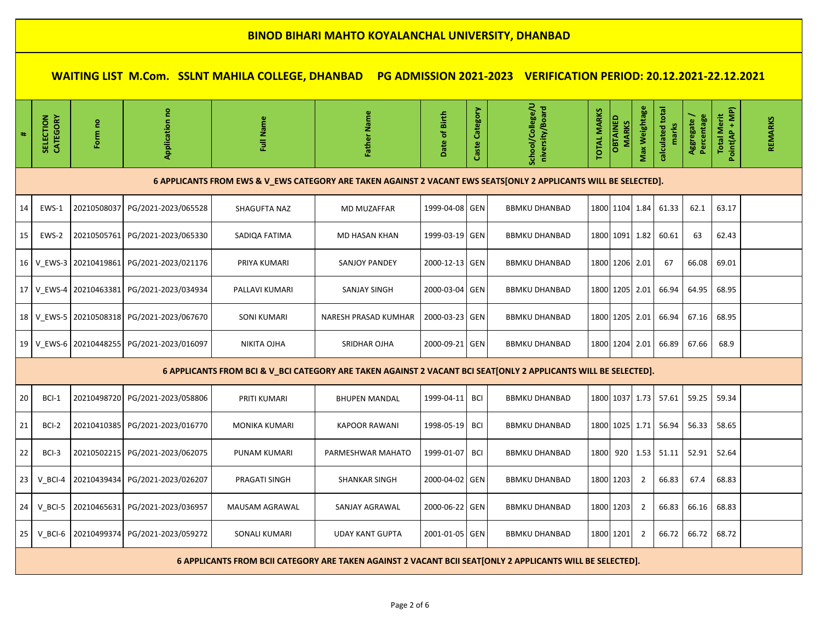**WAITING LIST M.Com. SSLNT MAHILA COLLEGE, DHANBAD PG ADMISSION 2021-2023 VERIFICATION PERIOD: 20.12.2021-22.12.2021**

### **6 APPLICANTS FROM EWS & V\_EWS CATEGORY ARE TAKEN AGAINST 2 VACANT EWS SEATS[ONLY 2 APPLICANTS WILL BE SELECTED].**

| 14 | EWS-1 | 20210508037            | PG/2021-2023/065528                              | SHAGUFTA NAZ   | MD MUZAFFAR          | 1999-04-08 GEN | <b>BBMKU DHANBAD</b> |  |                    | 1800   1104   1.84   61.33         | 62.1  | 63.17 |  |
|----|-------|------------------------|--------------------------------------------------|----------------|----------------------|----------------|----------------------|--|--------------------|------------------------------------|-------|-------|--|
| 15 | EWS-2 | 20210505761            | PG/2021-2023/065330                              | SADIOA FATIMA  | MD HASAN KHAN        | 1999-03-19 GEN | <b>BBMKU DHANBAD</b> |  |                    | 1800   1091   1.82   60.61         | 63    | 62.43 |  |
|    |       | 16 V EWS-3 20210419861 | PG/2021-2023/021176                              | PRIYA KUMARI   | SANJOY PANDEY        | 2000-12-13 GEN | <b>BBMKU DHANBAD</b> |  | 1800   1206   2.01 | 67                                 | 66.08 | 69.01 |  |
|    |       | 17 V EWS-4 20210463381 | PG/2021-2023/034934                              | PALLAVI KUMARI | <b>SANJAY SINGH</b>  | 2000-03-04 GEN | <b>BBMKU DHANBAD</b> |  |                    | 1800   1205   2.01   66.94   64.95 |       | 68.95 |  |
|    |       |                        | 18   V EWS-5   20210508318   PG/2021-2023/067670 | SONI KUMARI    | NARESH PRASAD KUMHAR | 2000-03-23 GEN | <b>BBMKU DHANBAD</b> |  |                    | 1800   1205   2.01   66.94   67.16 |       | 68.95 |  |
| 19 |       | V EWS-6 20210448255    | PG/2021-2023/016097                              | NIKITA OJHA    | <b>SRIDHAR OJHA</b>  | 2000-09-21 GEN | <b>BBMKU DHANBAD</b> |  |                    | 1800   1204   2.01   66.89   67.66 |       | 68.9  |  |

### **6 APPLICANTS FROM BCI & V\_BCI CATEGORY ARE TAKEN AGAINST 2 VACANT BCI SEAT[ONLY 2 APPLICANTS WILL BE SELECTED].**

| 20 | BCI-1                                                                                                     |             | 20210498720 PG/2021-2023/058806   | PRITI KUMARI         | <b>BHUPEN MANDAL</b>   | 1999-04-11 BCI |  | <b>BBMKU DHANBAD</b> |                    |  |                | 1800   1037   1.73   57.61 | 59.25 | 59.34 |  |
|----|-----------------------------------------------------------------------------------------------------------|-------------|-----------------------------------|----------------------|------------------------|----------------|--|----------------------|--------------------|--|----------------|----------------------------|-------|-------|--|
| 21 | BCI-2                                                                                                     |             | 20210410385   PG/2021-2023/016770 | <b>MONIKA KUMARI</b> | <b>KAPOOR RAWANI</b>   | 1998-05-19 BCI |  | <b>BBMKU DHANBAD</b> | 1800   1025   1.71 |  |                | 56.94                      | 56.33 | 58.65 |  |
| 22 | BCI-3                                                                                                     |             | 20210502215   PG/2021-2023/062075 | PUNAM KUMARI         | PARMESHWAR MAHATO      | 1999-01-07 BCI |  | <b>BBMKU DHANBAD</b> | 1800 920 1.53      |  |                | 51.11                      | 52.91 | 52.64 |  |
| 23 | $V$ BCI-4                                                                                                 |             | 20210439434 PG/2021-2023/026207   | PRAGATI SINGH        | <b>SHANKAR SINGH</b>   | 2000-04-02 GEN |  | <b>BBMKU DHANBAD</b> | 1800 1203          |  | 2              | 66.83                      | 67.4  | 68.83 |  |
| 24 | V BCI-5                                                                                                   | 20210465631 | PG/2021-2023/036957               | MAUSAM AGRAWAL       | SANJAY AGRAWAL         | 2000-06-22 GEN |  | <b>BBMKU DHANBAD</b> | 1800 1203          |  | $\overline{2}$ | 66.83                      | 66.16 | 68.83 |  |
| 25 | $V$ BCI-6                                                                                                 |             | 20210499374 PG/2021-2023/059272   | SONALI KUMARI        | <b>UDAY KANT GUPTA</b> | 2001-01-05 GEN |  | <b>BBMKU DHANBAD</b> | 1800 1201          |  | 2              | 66.72                      | 66.72 | 68.72 |  |
|    | 6 APPLICANTS FROM BCII CATEGORY ARE TAKEN AGAINST 2 VACANT BCII SEAT[ONLY 2 APPLICANTS WILL BE SELECTED]. |             |                                   |                      |                        |                |  |                      |                    |  |                |                            |       |       |  |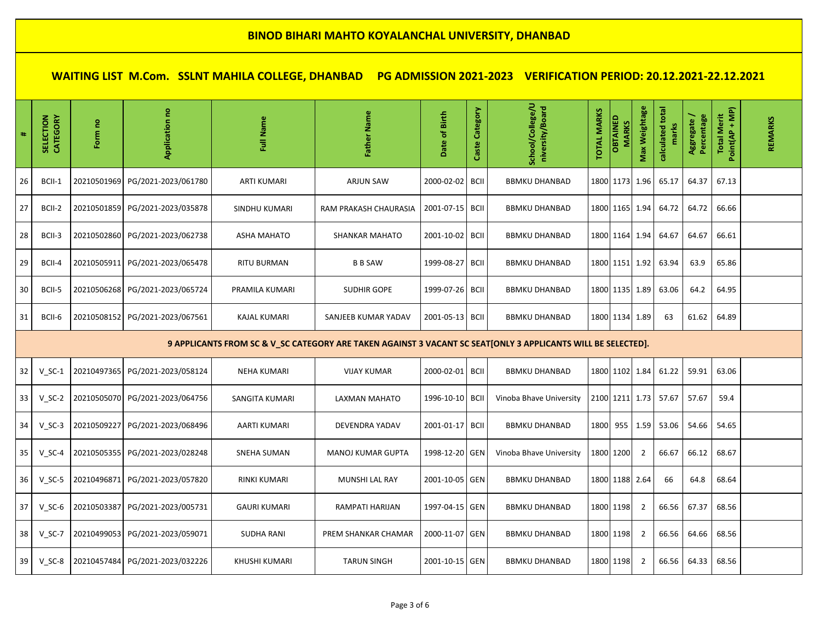| $\ddagger$ | SELECTION<br>CATEGORY                                                                                        | Form no     | Application no                  | Full Name           | Father Name              | Date of Birth   | Caste Category | School/College/U<br>niversity/Board | <b>TOTAL MARKS</b> | OBTAINED<br><b>MARKS</b> | Max Weightage  | calculated total | Aggregate /<br>Percentage | Total Merit<br>Point(AP + MP) | REMARKS |
|------------|--------------------------------------------------------------------------------------------------------------|-------------|---------------------------------|---------------------|--------------------------|-----------------|----------------|-------------------------------------|--------------------|--------------------------|----------------|------------------|---------------------------|-------------------------------|---------|
| 26         | BCII-1                                                                                                       | 20210501969 | PG/2021-2023/061780             | <b>ARTI KUMARI</b>  | <b>ARJUN SAW</b>         | 2000-02-02      | <b>BCII</b>    | <b>BBMKU DHANBAD</b>                |                    |                          | 1800 1173 1.96 | 65.17            | 64.37                     | 67.13                         |         |
| 27         | BCII-2                                                                                                       | 20210501859 | PG/2021-2023/035878             | SINDHU KUMARI       | RAM PRAKASH CHAURASIA    | 2001-07-15 BCII |                | <b>BBMKU DHANBAD</b>                |                    | 1800 1165 1.94           |                | 64.72            | 64.72                     | 66.66                         |         |
| 28         | BCII-3                                                                                                       | 20210502860 | PG/2021-2023/062738             | ASHA MAHATO         | <b>SHANKAR MAHATO</b>    | 2001-10-02 BCII |                | <b>BBMKU DHANBAD</b>                |                    | 1800 1164 1.94           |                | 64.67            | 64.67                     | 66.61                         |         |
| 29         | BCII-4                                                                                                       | 20210505911 | PG/2021-2023/065478             | <b>RITU BURMAN</b>  | <b>B B SAW</b>           | 1999-08-27      | <b>BCII</b>    | <b>BBMKU DHANBAD</b>                |                    |                          | 1800 1151 1.92 | 63.94            | 63.9                      | 65.86                         |         |
| 30         | BCII-5                                                                                                       |             | 20210506268 PG/2021-2023/065724 | PRAMILA KUMARI      | <b>SUDHIR GOPE</b>       | 1999-07-26 BCII |                | <b>BBMKU DHANBAD</b>                |                    |                          | 1800 1135 1.89 | 63.06            | 64.2                      | 64.95                         |         |
| 31         | BCII-6                                                                                                       | 20210508152 | PG/2021-2023/067561             | <b>KAJAL KUMARI</b> | SANJEEB KUMAR YADAV      | 2001-05-13 BCII |                | <b>BBMKU DHANBAD</b>                |                    | 1800 1134 1.89           |                | 63               | 61.62                     | 64.89                         |         |
|            | 9 APPLICANTS FROM SC & V_SC CATEGORY ARE TAKEN AGAINST 3 VACANT SC SEAT[ONLY 3 APPLICANTS WILL BE SELECTED]. |             |                                 |                     |                          |                 |                |                                     |                    |                          |                |                  |                           |                               |         |
| 32         | $V_SC-1$                                                                                                     | 20210497365 | PG/2021-2023/058124             | <b>NEHA KUMARI</b>  | <b>VIJAY KUMAR</b>       | 2000-02-01      | <b>BCII</b>    | <b>BBMKU DHANBAD</b>                |                    |                          | 1800 1102 1.84 | 61.22            | 59.91                     | 63.06                         |         |
| 33         | $V$ SC-2                                                                                                     |             | 20210505070 PG/2021-2023/064756 | SANGITA KUMARI      | LAXMAN MAHATO            | 1996-10-10 BCII |                | Vinoba Bhave University             |                    |                          | 2100 1211 1.73 | 57.67            | 57.67                     | 59.4                          |         |
| 34         | $V_SC-3$                                                                                                     | 20210509227 | PG/2021-2023/068496             | AARTI KUMARI        | DEVENDRA YADAV           | 2001-01-17 BCII |                | <b>BBMKU DHANBAD</b>                | 1800               |                          | $955$   1.59   | 53.06            | 54.66                     | 54.65                         |         |
| 35         | $V$ SC-4                                                                                                     | 20210505355 | PG/2021-2023/028248             | <b>SNEHA SUMAN</b>  | <b>MANOJ KUMAR GUPTA</b> | 1998-12-20 GEN  |                | Vinoba Bhave University             |                    | 1800 1200                | $\overline{2}$ | 66.67            | 66.12                     | 68.67                         |         |
| 36         | $V$ SC-5                                                                                                     | 20210496871 | PG/2021-2023/057820             | <b>RINKI KUMARI</b> | <b>MUNSHI LAL RAY</b>    | 2001-10-05 GEN  |                | <b>BBMKU DHANBAD</b>                |                    | 1800 1188 2.64           |                | 66               | 64.8                      | 68.64                         |         |
| 37         | $V$ SC-6                                                                                                     | 20210503387 | PG/2021-2023/005731             | <b>GAURI KUMARI</b> | RAMPATI HARIJAN          | 1997-04-15 GEN  |                | <b>BBMKU DHANBAD</b>                |                    | 1800 1198                | $\overline{2}$ | 66.56            | 67.37                     | 68.56                         |         |
| 38         | $V$ SC-7                                                                                                     | 20210499053 | PG/2021-2023/059071             | <b>SUDHA RANI</b>   | PREM SHANKAR CHAMAR      | 2000-11-07 GEN  |                | <b>BBMKU DHANBAD</b>                |                    | 1800 1198                | $\overline{2}$ | 66.56            | 64.66                     | 68.56                         |         |
| 39         | $V$ SC-8                                                                                                     | 20210457484 | PG/2021-2023/032226             | KHUSHI KUMARI       | <b>TARUN SINGH</b>       | 2001-10-15 GEN  |                | <b>BBMKU DHANBAD</b>                |                    | 1800 1198                | 2              | 66.56            | 64.33                     | 68.56                         |         |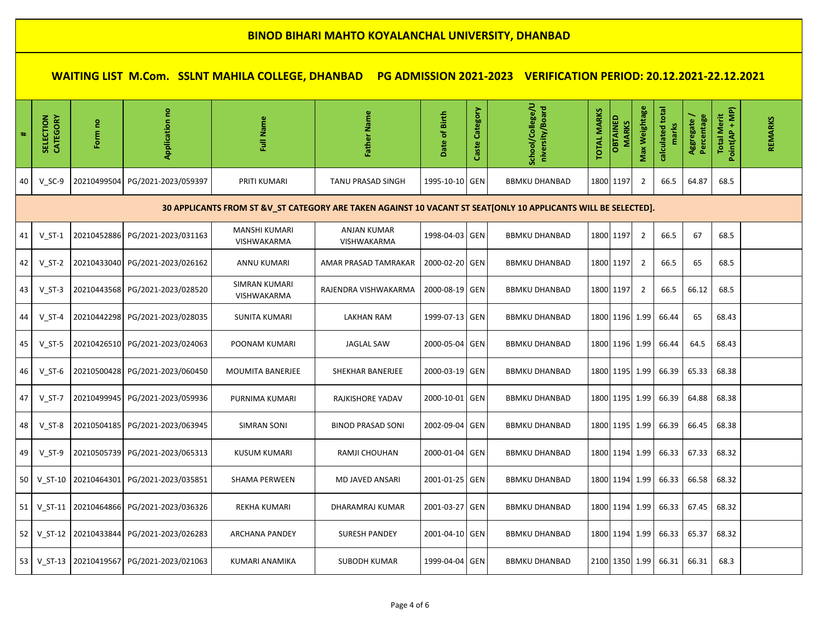| 4    | SELECTION<br><b>CATEGORY</b>                                                                                   | Form no               | g<br>Application                        | Full Name                           | Father Name                              | of Birth<br><b>Date</b> | Caste Category | School/College/U<br>niversity/Board | <b>TOTAL MARKS</b> | OBTAINED<br><b>MARKS</b> | Max Weightage  | calculated total | Percentage<br>Aggregate/ | Point(AP + MP)<br><b>Total Merit</b> | REMARKS |
|------|----------------------------------------------------------------------------------------------------------------|-----------------------|-----------------------------------------|-------------------------------------|------------------------------------------|-------------------------|----------------|-------------------------------------|--------------------|--------------------------|----------------|------------------|--------------------------|--------------------------------------|---------|
| 40   | $V$ SC-9                                                                                                       | 20210499504           | PG/2021-2023/059397                     | PRITI KUMARI                        | <b>TANU PRASAD SINGH</b>                 | 1995-10-10 GEN          |                | <b>BBMKU DHANBAD</b>                |                    | 1800 1197                | $\overline{2}$ | 66.5             | 64.87                    | 68.5                                 |         |
|      | 30 APPLICANTS FROM ST &V_ST CATEGORY ARE TAKEN AGAINST 10 VACANT ST SEAT[ONLY 10 APPLICANTS WILL BE SELECTED]. |                       |                                         |                                     |                                          |                         |                |                                     |                    |                          |                |                  |                          |                                      |         |
| 41   | $V ST-1$                                                                                                       |                       | 20210452886 PG/2021-2023/031163         | <b>MANSHI KUMARI</b><br>VISHWAKARMA | <b>ANJAN KUMAR</b><br><b>VISHWAKARMA</b> | 1998-04-03 GEN          |                | <b>BBMKU DHANBAD</b>                |                    | 1800 1197                | $\overline{2}$ | 66.5             | 67                       | 68.5                                 |         |
| 42   | $V ST-2$                                                                                                       | 20210433040           | PG/2021-2023/026162                     | ANNU KUMARI                         | AMAR PRASAD TAMRAKAR                     | 2000-02-20 GEN          |                | <b>BBMKU DHANBAD</b>                |                    | 1800 1197                | 2              | 66.5             | 65                       | 68.5                                 |         |
| 43   | $V_S$ T-3                                                                                                      | 20210443568           | PG/2021-2023/028520                     | <b>SIMRAN KUMARI</b><br>VISHWAKARMA | RAJENDRA VISHWAKARMA                     | 2000-08-19 GEN          |                | <b>BBMKU DHANBAD</b>                |                    | 1800 1197                | $\overline{2}$ | 66.5             | 66.12                    | 68.5                                 |         |
| 44   | $V_S$ T-4                                                                                                      | 20210442298           | PG/2021-2023/028035                     | <b>SUNITA KUMARI</b>                | LAKHAN RAM                               | 1999-07-13 GEN          |                | <b>BBMKU DHANBAD</b>                |                    | 1800 1196 1.99           |                | 66.44            | 65                       | 68.43                                |         |
| 45   | $V_S$ T-5                                                                                                      |                       | 20210426510 PG/2021-2023/024063         | POONAM KUMARI                       | <b>JAGLAL SAW</b>                        | 2000-05-04 GEN          |                | <b>BBMKU DHANBAD</b>                |                    | 1800 1196 1.99           |                | 66.44            | 64.5                     | 68.43                                |         |
| 46   | $V$ ST-6                                                                                                       |                       | 20210500428 PG/2021-2023/060450         | <b>MOUMITA BANERJEE</b>             | SHEKHAR BANERJEE                         | 2000-03-19 GEN          |                | <b>BBMKU DHANBAD</b>                |                    | 1800 1195 1.99           |                | 66.39            | 65.33                    | 68.38                                |         |
| 47   | $V_S$ T-7                                                                                                      | 20210499945           | PG/2021-2023/059936                     | PURNIMA KUMARI                      | RAJKISHORE YADAV                         | 2000-10-01 GEN          |                | <b>BBMKU DHANBAD</b>                |                    | 1800 1195 1.99           |                | 66.39            | 64.88                    | 68.38                                |         |
| 48   | $V_S$ T-8                                                                                                      | 20210504185           | PG/2021-2023/063945                     | <b>SIMRAN SONI</b>                  | <b>BINOD PRASAD SONI</b>                 | 2002-09-04              | GEN            | <b>BBMKU DHANBAD</b>                |                    | 1800 1195 1.99           |                | 66.39            | 66.45                    | 68.38                                |         |
| 49   | $V$ ST-9                                                                                                       |                       | 20210505739 PG/2021-2023/065313         | <b>KUSUM KUMARI</b>                 | RAMJI CHOUHAN                            | 2000-01-04 GEN          |                | <b>BBMKU DHANBAD</b>                |                    | 1800 1194 1.99           |                | 66.33            | 67.33                    | 68.32                                |         |
| 50 l |                                                                                                                | V ST-10   20210464301 | PG/2021-2023/035851                     | <b>SHAMA PERWEEN</b>                | MD JAVED ANSARI                          | 2001-01-25 GEN          |                | <b>BBMKU DHANBAD</b>                |                    | 1800 1194 1.99           |                | 66.33            | 66.58                    | 68.32                                |         |
| 51   |                                                                                                                | V ST-11   20210464866 | PG/2021-2023/036326                     | <b>REKHA KUMARI</b>                 | DHARAMRAJ KUMAR                          | 2001-03-27 GEN          |                | <b>BBMKU DHANBAD</b>                |                    | 1800 1194 1.99           |                | 66.33            | 67.45                    | 68.32                                |         |
| 52   |                                                                                                                | V ST-12   20210433844 | PG/2021-2023/026283                     | <b>ARCHANA PANDEY</b>               | <b>SURESH PANDEY</b>                     | 2001-04-10 GEN          |                | <b>BBMKU DHANBAD</b>                |                    | 1800 1194 1.99           |                | 66.33            | 65.37                    | 68.32                                |         |
| 53   |                                                                                                                |                       | V ST-13 20210419567 PG/2021-2023/021063 | KUMARI ANAMIKA                      | <b>SUBODH KUMAR</b>                      | 1999-04-04 GEN          |                | <b>BBMKU DHANBAD</b>                |                    | 2100 1350 1.99           |                | 66.31            | 66.31                    | 68.3                                 |         |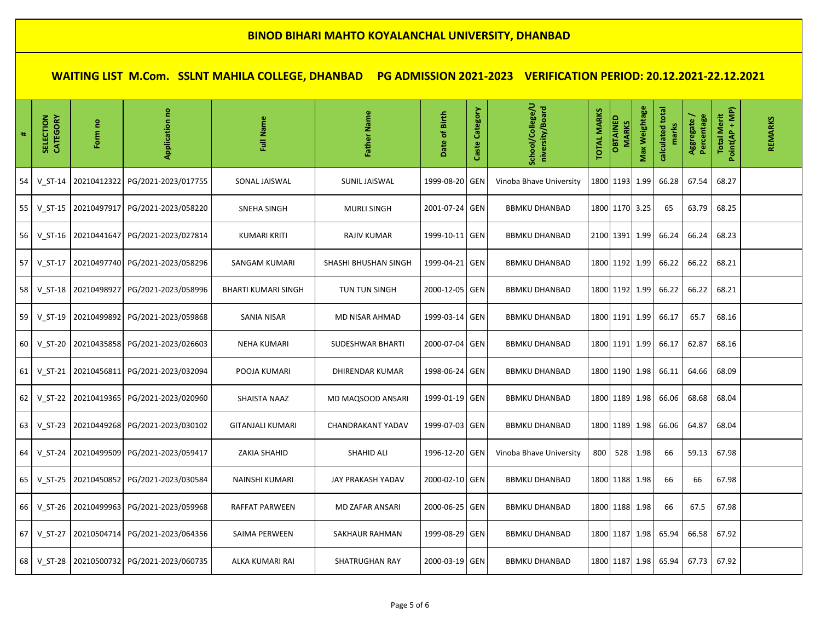| #  | SELECTION<br><b>CATEGORY</b> | Form no | <b>Application no</b>                       | Full Name                  | Father Name             | Date of Birth  | Caste Category | School/College/U<br>niversity/Board | <b>TOTAL MARKS</b> | <b>OBTAINED</b><br><b>MARKS</b> | Max Weightage | calculated total<br>marks | Aggregate/<br>Percentage | Total Merit<br>Point(AP + MP) | REMARKS |
|----|------------------------------|---------|---------------------------------------------|----------------------------|-------------------------|----------------|----------------|-------------------------------------|--------------------|---------------------------------|---------------|---------------------------|--------------------------|-------------------------------|---------|
| 54 | $V ST-14$                    |         | 20210412322 PG/2021-2023/017755             | SONAL JAISWAL              | <b>SUNIL JAISWAL</b>    | 1999-08-20     | GEN            | Vinoba Bhave University             |                    | 1800 1193                       | 1.99          | 66.28                     | 67.54                    | 68.27                         |         |
| 55 |                              |         | V ST-15   20210497917   PG/2021-2023/058220 | SNEHA SINGH                | <b>MURLI SINGH</b>      | 2001-07-24 GEN |                | <b>BBMKU DHANBAD</b>                |                    | 1800 1170 3.25                  |               | 65                        | 63.79                    | 68.25                         |         |
| 56 | $V ST-16$                    |         | 20210441647 PG/2021-2023/027814             | <b>KUMARI KRITI</b>        | <b>RAJIV KUMAR</b>      | 1999-10-11     | GEN            | <b>BBMKU DHANBAD</b>                |                    | 2100 1391 1.99                  |               | 66.24                     | 66.24                    | 68.23                         |         |
| 57 | $V ST-17$                    |         | 20210497740 PG/2021-2023/058296             | <b>SANGAM KUMARI</b>       | SHASHI BHUSHAN SINGH    | 1999-04-21 GEN |                | <b>BBMKU DHANBAD</b>                |                    | 1800 1192 1.99                  |               | 66.22                     | 66.22                    | 68.21                         |         |
| 58 | $V ST-18$                    |         | 20210498927 PG/2021-2023/058996             | <b>BHARTI KUMARI SINGH</b> | <b>TUN TUN SINGH</b>    | 2000-12-05 GEN |                | <b>BBMKU DHANBAD</b>                |                    | 1800 1192 1.99                  |               | 66.22                     | 66.22                    | 68.21                         |         |
| 59 | $V ST-19$                    |         | 20210499892 PG/2021-2023/059868             | <b>SANIA NISAR</b>         | MD NISAR AHMAD          | 1999-03-14 GEN |                | <b>BBMKU DHANBAD</b>                |                    | 1800 1191 1.99                  |               | 66.17                     | 65.7                     | 68.16                         |         |
| 60 | $V_S$ T-20                   |         | 20210435858 PG/2021-2023/026603             | <b>NEHA KUMARI</b>         | <b>SUDESHWAR BHARTI</b> | 2000-07-04     | <b>GEN</b>     | <b>BBMKU DHANBAD</b>                |                    | 1800 1191 1.99                  |               | 66.17                     | 62.87                    | 68.16                         |         |
| 61 | $V$ ST-21                    |         | 20210456811 PG/2021-2023/032094             | POOJA KUMARI               | DHIRENDAR KUMAR         | 1998-06-24 GEN |                | <b>BBMKU DHANBAD</b>                |                    | 1800 1190                       | 1.98          | 66.11                     | 64.66                    | 68.09                         |         |
| 62 |                              |         | V_ST-22 20210419365 PG/2021-2023/020960     | SHAISTA NAAZ               | MD MAQSOOD ANSARI       | 1999-01-19 GEN |                | <b>BBMKU DHANBAD</b>                |                    | 1800 1189 1.98                  |               | 66.06                     | 68.68                    | 68.04                         |         |
| 63 | $V ST-23$                    |         | 20210449268 PG/2021-2023/030102             | <b>GITANJALI KUMARI</b>    | CHANDRAKANT YADAV       | 1999-07-03 GEN |                | <b>BBMKU DHANBAD</b>                |                    | 1800 1189                       | 1.98          | 66.06                     | 64.87                    | 68.04                         |         |
| 64 | $V ST-24$                    |         | 20210499509 PG/2021-2023/059417             | ZAKIA SHAHID               | <b>SHAHID ALI</b>       | 1996-12-20 GEN |                | Vinoba Bhave University             | 800                | 528                             | 1.98          | 66                        | 59.13                    | 67.98                         |         |
| 65 | $V ST-25$                    |         | 20210450852 PG/2021-2023/030584             | <b>NAINSHI KUMARI</b>      | JAY PRAKASH YADAV       | 2000-02-10 GEN |                | <b>BBMKU DHANBAD</b>                |                    | 1800 1188 1.98                  |               | 66                        | 66                       | 67.98                         |         |
| 66 | $V_S$ T-26                   |         | 20210499963 PG/2021-2023/059968             | RAFFAT PARWEEN             | MD ZAFAR ANSARI         | 2000-06-25 GEN |                | <b>BBMKU DHANBAD</b>                |                    | 1800 1188 1.98                  |               | 66                        | 67.5                     | 67.98                         |         |
| 67 | V ST-27                      |         | 20210504714 PG/2021-2023/064356             | SAIMA PERWEEN              | SAKHAUR RAHMAN          | 1999-08-29 GEN |                | <b>BBMKU DHANBAD</b>                |                    | 1800 1187 1.98                  |               | 65.94                     | 66.58                    | 67.92                         |         |
| 68 | $V_S$ T-28                   |         | 20210500732 PG/2021-2023/060735             | ALKA KUMARI RAI            | <b>SHATRUGHAN RAY</b>   | 2000-03-19 GEN |                | <b>BBMKU DHANBAD</b>                |                    | 1800 1187 1.98                  |               | 65.94                     | 67.73                    | 67.92                         |         |